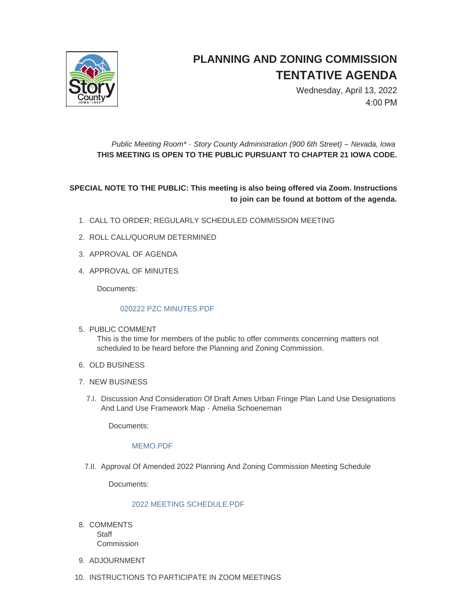

# **PLANNING AND ZONING COMMISSION TENTATIVE AGENDA**

Wednesday, April 13, 2022 4:00 PM

## *Public Meeting Room\* - Story County Administration (900 6th Street) – Nevada, Iowa* **THIS MEETING IS OPEN TO THE PUBLIC PURSUANT TO CHAPTER 21 IOWA CODE.**

## **SPECIAL NOTE TO THE PUBLIC: This meeting is also being offered via Zoom. Instructions to join can be found at bottom of the agenda.**

- CALL TO ORDER; REGULARLY SCHEDULED COMMISSION MEETING 1.
- 2. ROLL CALL/QUORUM DETERMINED
- 3. APPROVAL OF AGENDA
- 4. APPROVAL OF MINUTES

Documents:

#### [020222 PZC MINUTES.PDF](http://www.storycountyiowa.gov/AgendaCenter/ViewFile/Item/23924?fileID=17980)

5. PUBLIC COMMENT

This is the time for members of the public to offer comments concerning matters not scheduled to be heard before the Planning and Zoning Commission.

- 6. OLD BUSINESS
- 7. NEW BUSINESS
	- 7.I. Discussion And Consideration Of Draft Ames Urban Fringe Plan Land Use Designations And Land Use Framework Map - Amelia Schoeneman

Documents:

### [MEMO.PDF](http://www.storycountyiowa.gov/AgendaCenter/ViewFile/Item/23932?fileID=17982)

7.II. Approval Of Amended 2022 Planning And Zoning Commission Meeting Schedule

Documents:

#### [2022 MEETING SCHEDULE.PDF](http://www.storycountyiowa.gov/AgendaCenter/ViewFile/Item/23928?fileID=17981)

- 8. COMMENTS **Staff Commission**
- 9. ADJOURNMENT
- 10. INSTRUCTIONS TO PARTICIPATE IN ZOOM MEETINGS